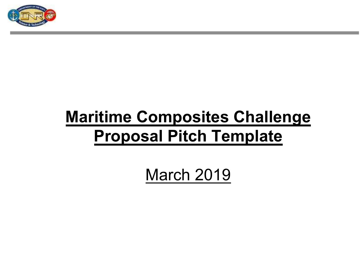

### **Maritime Composites Challenge Proposal Pitch Template**

March 2019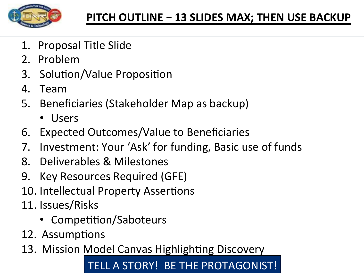

- 1. Proposal Title Slide
- 2. Problem
- 3. Solution/Value Proposition
- 4. Team
- 5. Beneficiaries (Stakeholder Map as backup)
	- Users
- 6. Expected Outcomes/Value to Beneficiaries
- 7. Investment: Your 'Ask' for funding, Basic use of funds
- 8. Deliverables & Milestones
- 9. Key Resources Required (GFE)
- 10. Intellectual Property Assertions
- 11. Issues/Risks
	- Competition/Saboteurs
- 12. Assumptions
- 13. Mission Model Canvas Highlighting Discovery

#### TELL A STORY! BE THE PROTAGONIST!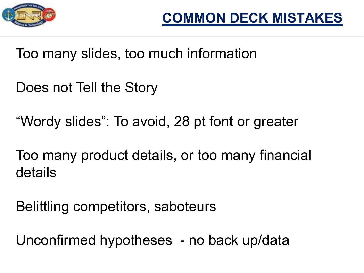

Too many slides, too much information

Does not Tell the Story

"Wordy slides": To avoid, 28 pt font or greater

Too many product details, or too many financial details

Belittling competitors, saboteurs

Unconfirmed hypotheses - no back up/data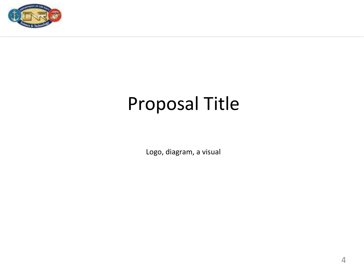

# Proposal Title

Logo, diagram, a visual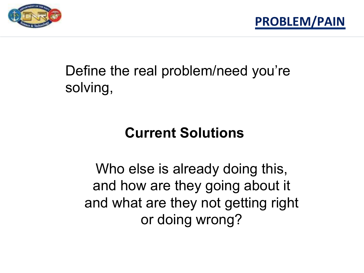



### Define the real problem/need you're solving,

#### **Current Solutions**

Who else is already doing this, and how are they going about it and what are they not getting right or doing wrong?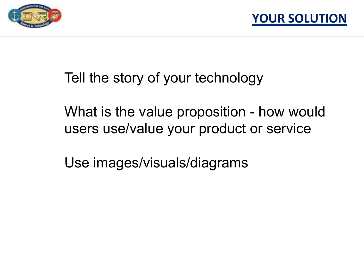



Tell the story of your technology

What is the value proposition - how would users use/value your product or service

Use images/visuals/diagrams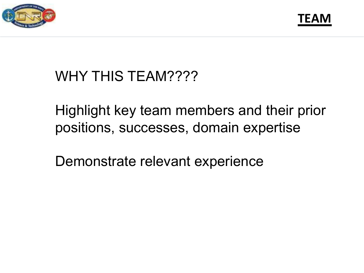



#### WHY THIS TEAM????

Highlight key team members and their prior positions, successes, domain expertise

Demonstrate relevant experience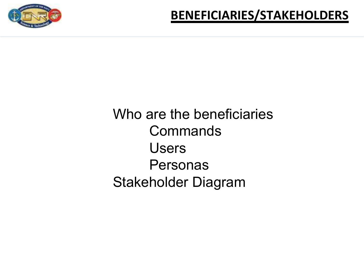

Who are the beneficiaries **Commands** Users Personas Stakeholder Diagram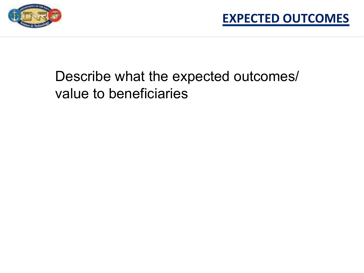

### Describe what the expected outcomes/ value to beneficiaries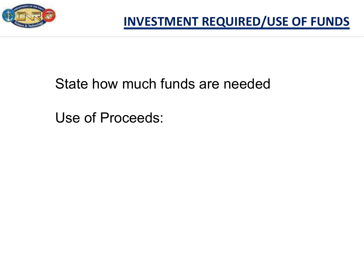

#### State how much funds are needed

Use of Proceeds: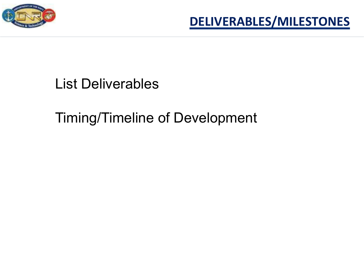



#### List Deliverables

#### Timing/Timeline of Development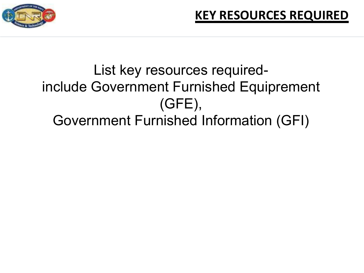

### List key resources requiredinclude Government Furnished Equiprement (GFE), Government Furnished Information (GFI)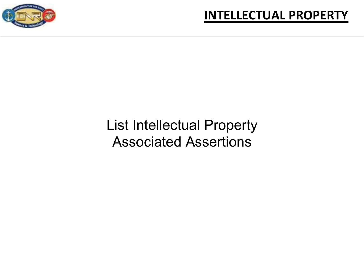

#### **INTELLECTUAL PROPERTY**

#### List Intellectual Property Associated Assertions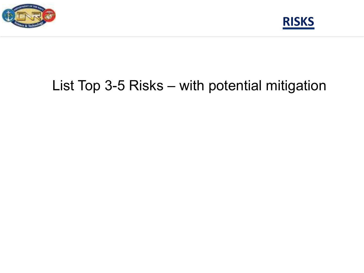



### List Top 3-5 Risks – with potential mitigation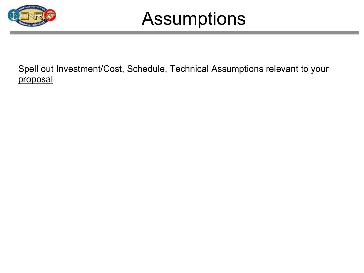

## Assumptions

#### Spell out Investment/Cost, Schedule, Technical Assumptions relevant to your proposal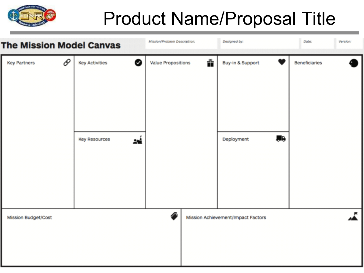

# Product Name/Proposal Title

| <b>The Mission Model Canvas</b> |                                                          | Mission/Problem Description: |   | Designed by:                       |           | Date:                | Version: |
|---------------------------------|----------------------------------------------------------|------------------------------|---|------------------------------------|-----------|----------------------|----------|
| ∂<br><b>Key Partners</b>        | ◙<br><b>Key Activities</b><br><b>Key Resources</b><br>24 | <b>Value Propositions</b>    | Å | Buy-in & Support<br>Deployment     | <b>AB</b> | <b>Beneficiaries</b> |          |
| Mission Budget/Cost             |                                                          | ∕•                           |   | Mission Achievement/Impact Factors |           |                      | ۴.       |